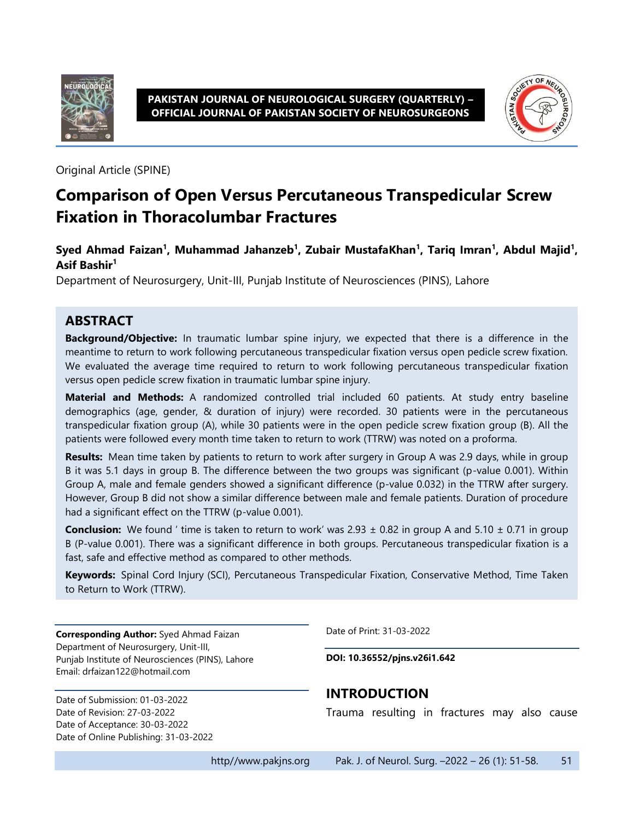

#### **PAKISTAN JOURNAL OF NEUROLOGICAL SURGERY (QUARTERLY) – OFFICIAL JOURNAL OF PAKISTAN SOCIETY OF NEUROSURGEONS**



Original Article (SPINE)

# **Comparison of Open Versus Percutaneous Transpedicular Screw Fixation in Thoracolumbar Fractures**

#### **Syed Ahmad Faizan<sup>1</sup> , Muhammad Jahanzeb<sup>1</sup> , Zubair MustafaKhan<sup>1</sup> , Tariq Imran<sup>1</sup> , Abdul Majid<sup>1</sup> , Asif Bashir<sup>1</sup>**

Department of Neurosurgery, Unit-III, Punjab Institute of Neurosciences (PINS), Lahore

### **ABSTRACT**

**Background/Objective:** In traumatic lumbar spine injury, we expected that there is a difference in the meantime to return to work following percutaneous transpedicular fixation versus open pedicle screw fixation. We evaluated the average time required to return to work following percutaneous transpedicular fixation versus open pedicle screw fixation in traumatic lumbar spine injury.

**Material and Methods:** A randomized controlled trial included 60 patients. At study entry baseline demographics (age, gender, & duration of injury) were recorded. 30 patients were in the percutaneous transpedicular fixation group (A), while 30 patients were in the open pedicle screw fixation group (B). All the patients were followed every month time taken to return to work (TTRW) was noted on a proforma.

**Results:** Mean time taken by patients to return to work after surgery in Group A was 2.9 days, while in group B it was 5.1 days in group B. The difference between the two groups was significant (p-value 0.001). Within Group A, male and female genders showed a significant difference (p-value 0.032) in the TTRW after surgery. However, Group B did not show a similar difference between male and female patients. Duration of procedure had a significant effect on the TTRW (p-value 0.001).

**Conclusion:** We found ' time is taken to return to work' was  $2.93 \pm 0.82$  in group A and  $5.10 \pm 0.71$  in group B (P-value 0.001). There was a significant difference in both groups. Percutaneous transpedicular fixation is a fast, safe and effective method as compared to other methods.

**Keywords:** Spinal Cord Injury (SCI), Percutaneous Transpedicular Fixation, Conservative Method, Time Taken to Return to Work (TTRW).

**Corresponding Author:** Syed Ahmad Faizan Department of Neurosurgery, Unit-III, Punjab Institute of Neurosciences (PINS), Lahore Email: drfaizan122@hotmail.com

Date of Submission: 01-03-2022 Date of Revision: 27-03-2022 Date of Acceptance: 30-03-2022 Date of Online Publishing: 31-03-2022 Date of Print: 31-03-2022

**DOI: 10.36552/pjns.v26i1.642**

### **INTRODUCTION**

Trauma resulting in fractures may also cause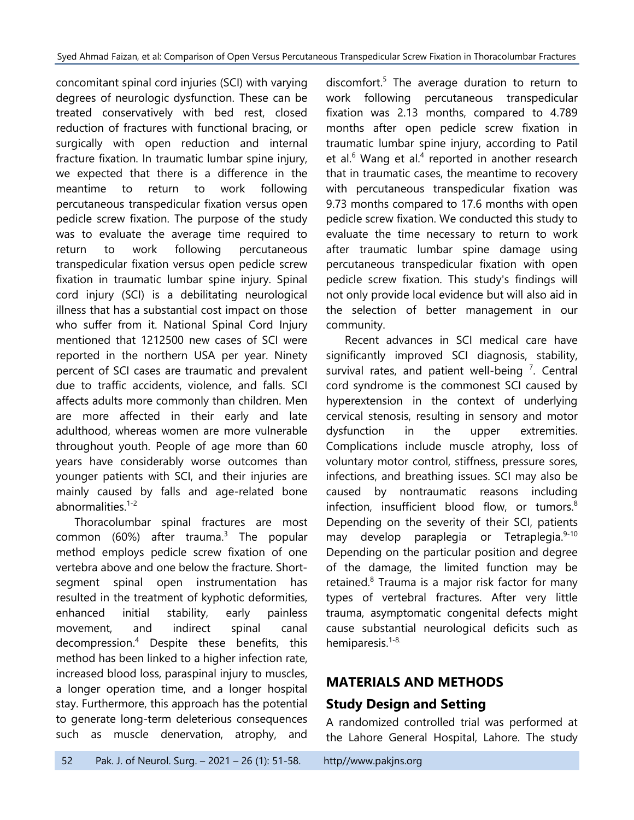concomitant spinal cord injuries (SCI) with varying degrees of neurologic dysfunction. These can be treated conservatively with bed rest, closed reduction of fractures with functional bracing, or surgically with open reduction and internal fracture fixation. In traumatic lumbar spine injury, we expected that there is a difference in the meantime to return to work following percutaneous transpedicular fixation versus open pedicle screw fixation. The purpose of the study was to evaluate the average time required to return to work following percutaneous transpedicular fixation versus open pedicle screw fixation in traumatic lumbar spine injury. Spinal cord injury (SCI) is a debilitating neurological illness that has a substantial cost impact on those who suffer from it. National Spinal Cord Injury mentioned that 1212500 new cases of SCI were reported in the northern USA per year. Ninety percent of SCI cases are traumatic and prevalent due to traffic accidents, violence, and falls. SCI affects adults more commonly than children. Men are more affected in their early and late adulthood, whereas women are more vulnerable throughout youth. People of age more than 60 years have considerably worse outcomes than younger patients with SCI, and their injuries are mainly caused by falls and age-related bone abnormalities. 1-2

Thoracolumbar spinal fractures are most common (60%) after trauma.<sup>3</sup> The popular method employs pedicle screw fixation of one vertebra above and one below the fracture. Shortsegment spinal open instrumentation has resulted in the treatment of kyphotic deformities, enhanced initial stability, early painless movement, and indirect spinal canal decompression. <sup>4</sup> Despite these benefits, this method has been linked to a higher infection rate, increased blood loss, paraspinal injury to muscles, a longer operation time, and a longer hospital stay. Furthermore, this approach has the potential to generate long-term deleterious consequences such as muscle denervation, atrophy, and

discomfort. 5 The average duration to return to work following percutaneous transpedicular fixation was 2.13 months, compared to 4.789 months after open pedicle screw fixation in traumatic lumbar spine injury, according to Patil et al. $^6$  Wang et al. $^4$  reported in another research that in traumatic cases, the meantime to recovery with percutaneous transpedicular fixation was 9.73 months compared to 17.6 months with open pedicle screw fixation. We conducted this study to evaluate the time necessary to return to work after traumatic lumbar spine damage using percutaneous transpedicular fixation with open pedicle screw fixation. This study's findings will not only provide local evidence but will also aid in the selection of better management in our community.

Recent advances in SCI medical care have significantly improved SCI diagnosis, stability, survival rates, and patient well-being  $<sup>7</sup>$ . Central</sup> cord syndrome is the commonest SCI caused by hyperextension in the context of underlying cervical stenosis, resulting in sensory and motor dysfunction in the upper extremities. Complications include muscle atrophy, loss of voluntary motor control, stiffness, pressure sores, infections, and breathing issues. SCI may also be caused by nontraumatic reasons including infection, insufficient blood flow, or tumors. 8 Depending on the severity of their SCI, patients may develop paraplegia or Tetraplegia.<sup>9-10</sup> Depending on the particular position and degree of the damage, the limited function may be retained.<sup>8</sup> Trauma is a major risk factor for many types of vertebral fractures. After very little trauma, asymptomatic congenital defects might cause substantial neurological deficits such as hemiparesis.<sup>1-8.</sup>

# **MATERIALS AND METHODS**

# **Study Design and Setting**

A randomized controlled trial was performed at the Lahore General Hospital, Lahore. The study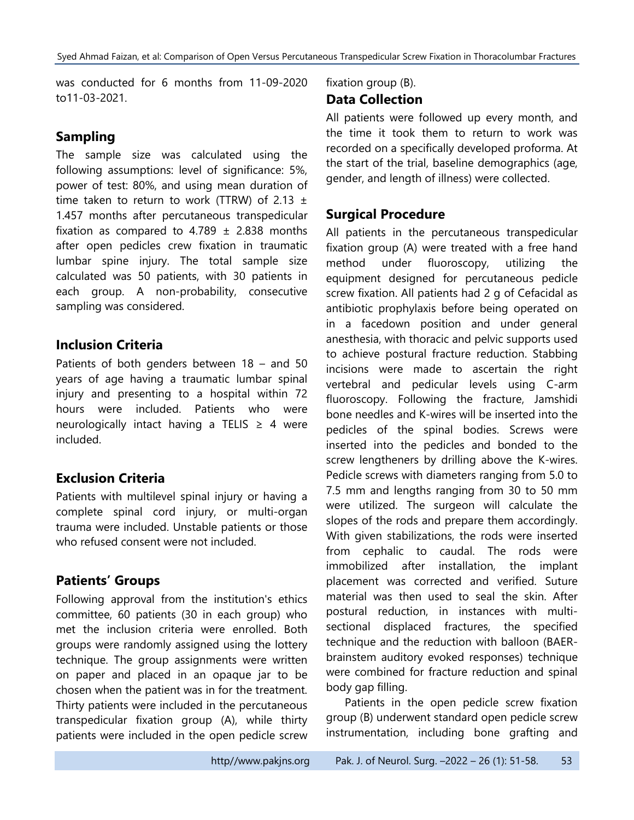was conducted for 6 months from 11-09-2020 to11-03-2021.

## **Sampling**

The sample size was calculated using the following assumptions: level of significance: 5%, power of test: 80%, and using mean duration of time taken to return to work (TTRW) of 2.13  $\pm$ 1.457 months after percutaneous transpedicular fixation as compared to  $4.789 \pm 2.838$  months after open pedicles crew fixation in traumatic lumbar spine injury. The total sample size calculated was 50 patients, with 30 patients in each group. A non-probability, consecutive sampling was considered.

## **Inclusion Criteria**

Patients of both genders between 18 – and 50 years of age having a traumatic lumbar spinal injury and presenting to a hospital within 72 hours were included. Patients who were neurologically intact having a TELIS  $\geq$  4 were included.

# **Exclusion Criteria**

Patients with multilevel spinal injury or having a complete spinal cord injury, or multi-organ trauma were included. Unstable patients or those who refused consent were not included.

# **Patients' Groups**

Following approval from the institution's ethics committee, 60 patients (30 in each group) who met the inclusion criteria were enrolled. Both groups were randomly assigned using the lottery technique. The group assignments were written on paper and placed in an opaque jar to be chosen when the patient was in for the treatment. Thirty patients were included in the percutaneous transpedicular fixation group (A), while thirty patients were included in the open pedicle screw

#### fixation group (B). **Data Collection**

All patients were followed up every month, and the time it took them to return to work was recorded on a specifically developed proforma. At the start of the trial, baseline demographics (age, gender, and length of illness) were collected.

# **Surgical Procedure**

All patients in the percutaneous transpedicular fixation group (A) were treated with a free hand method under fluoroscopy, utilizing the equipment designed for percutaneous pedicle screw fixation. All patients had 2 g of Cefacidal as antibiotic prophylaxis before being operated on in a facedown position and under general anesthesia, with thoracic and pelvic supports used to achieve postural fracture reduction. Stabbing incisions were made to ascertain the right vertebral and pedicular levels using C-arm fluoroscopy. Following the fracture, Jamshidi bone needles and K-wires will be inserted into the pedicles of the spinal bodies. Screws were inserted into the pedicles and bonded to the screw lengtheners by drilling above the K-wires. Pedicle screws with diameters ranging from 5.0 to 7.5 mm and lengths ranging from 30 to 50 mm were utilized. The surgeon will calculate the slopes of the rods and prepare them accordingly. With given stabilizations, the rods were inserted from cephalic to caudal. The rods were immobilized after installation, the implant placement was corrected and verified. Suture material was then used to seal the skin. After postural reduction, in instances with multisectional displaced fractures, the specified technique and the reduction with balloon (BAERbrainstem auditory evoked responses) technique were combined for fracture reduction and spinal body gap filling.

Patients in the open pedicle screw fixation group (B) underwent standard open pedicle screw instrumentation, including bone grafting and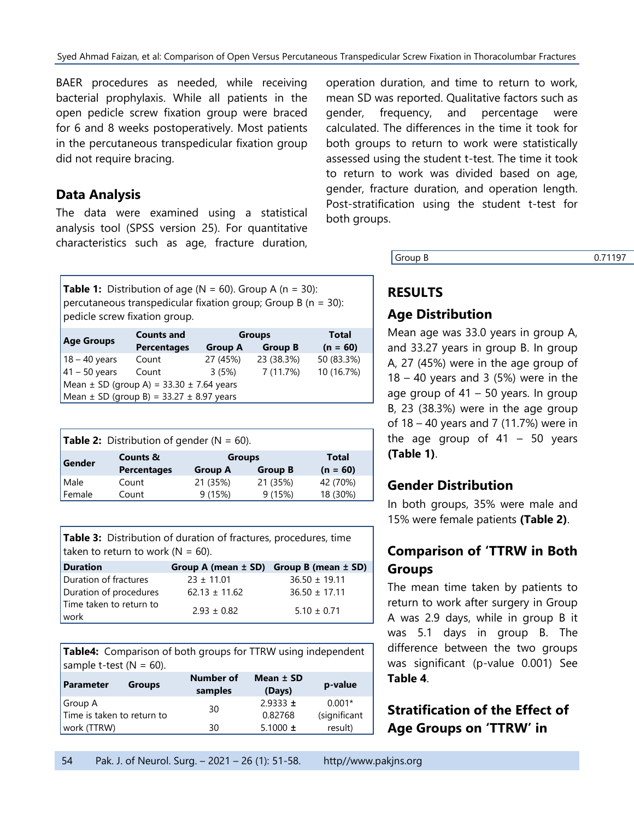BAER procedures as needed, while receiving bacterial prophylaxis. While all patients in the open pedicle screw fixation group were braced for 6 and 8 weeks postoperatively. Most patients in the percutaneous transpedicular fixation group did not require bracing.

#### **Data Analysis**

The data were examined using a statistical analysis tool (SPSS version 25). For quantitative characteristics such as age, fracture duration,

**Table 1:** Distribution of age ( $N = 60$ ). Group A ( $n = 30$ ): percutaneous transpedicular fixation group; Group B ( $n = 30$ ): pedicle screw fixation group.

|                                                  | <b>Counts and</b>  | <b>Groups</b>  |                | Total      |
|--------------------------------------------------|--------------------|----------------|----------------|------------|
| <b>Age Groups</b>                                | <b>Percentages</b> | <b>Group A</b> | <b>Group B</b> | $(n = 60)$ |
| $18 - 40$ years                                  | Count              | 27 (45%)       | 23 (38.3%)     | 50 (83.3%) |
| $41 - 50$ years                                  | Count              | 3(5%)          | 7 (11.7%)      | 10 (16.7%) |
| Mean $\pm$ SD (group A) = 33.30 $\pm$ 7.64 years |                    |                |                |            |
| $Mean \pm SD$ (group B) = 33.27 $\pm$ 8.97 years |                    |                |                |            |

| <b>Table 2:</b> Distribution of gender ( $N = 60$ ). |                                           |                                 |                |                     |
|------------------------------------------------------|-------------------------------------------|---------------------------------|----------------|---------------------|
| Gender                                               | <b>Counts &amp;</b><br><b>Percentages</b> | <b>Groups</b><br><b>Group A</b> | <b>Group B</b> | Total<br>$(n = 60)$ |
| Male                                                 | Count                                     | 21 (35%)                        | 21 (35%)       | 42 (70%)            |
| Female                                               | Count                                     | 9(15%)                          | 9(15%)         | 18 (30%)            |

**Table 3:** Distribution of duration of fractures, procedures, time taken to return to work ( $N = 60$ ).

| <b>Duration</b>                        |                   | Group A (mean $\pm$ SD) Group B (mean $\pm$ SD) |
|----------------------------------------|-------------------|-------------------------------------------------|
| Duration of fractures                  | $23 \pm 11.01$    | $36.50 \pm 19.11$                               |
| Duration of procedures                 | $62.13 \pm 11.62$ | $36.50 \pm 17.11$                               |
| Time taken to return to<br><b>work</b> | $2.93 \pm 0.82$   | $5.10 \pm 0.71$                                 |

**Table4:** Comparison of both groups for TTRW using independent sample t-test  $(N = 60)$ .

| Parameter                  | <b>Groups</b> | Number of<br>samples | Mean $±$ SD<br>(Days) | p-value      |
|----------------------------|---------------|----------------------|-----------------------|--------------|
| Group A                    |               |                      | $2.9333 \pm$          | $0.001*$     |
| Time is taken to return to |               | 30                   | 0.82768               | (significant |
| work (TTRW)                |               | 30                   | 5.1000 $\pm$          | result)      |

operation duration, and time to return to work, mean SD was reported. Qualitative factors such as gender, frequency, and percentage were calculated. The differences in the time it took for both groups to return to work were statistically assessed using the student t-test. The time it took to return to work was divided based on age, gender, fracture duration, and operation length. Post-stratification using the student t-test for both groups.

**Group B** 0.71197

# **RESULTS**

### **Age Distribution**

Mean age was 33.0 years in group A, and 33.27 years in group B. In group A, 27 (45%) were in the age group of  $18 - 40$  years and 3 (5%) were in the age group of  $41 - 50$  years. In group B, 23 (38.3%) were in the age group of 18 – 40 years and 7 (11.7%) were in the age group of  $41 - 50$  years **(Table 1)**.

### **Gender Distribution**

In both groups, 35% were male and 15% were female patients **(Table 2)**.

# **Comparison of 'TTRW in Both Groups**

The mean time taken by patients to return to work after surgery in Group A was 2.9 days, while in group B it was 5.1 days in group B. The difference between the two groups was significant (p-value 0.001) See **Table 4**.

**Stratification of the Effect of Age Groups on 'TTRW' in**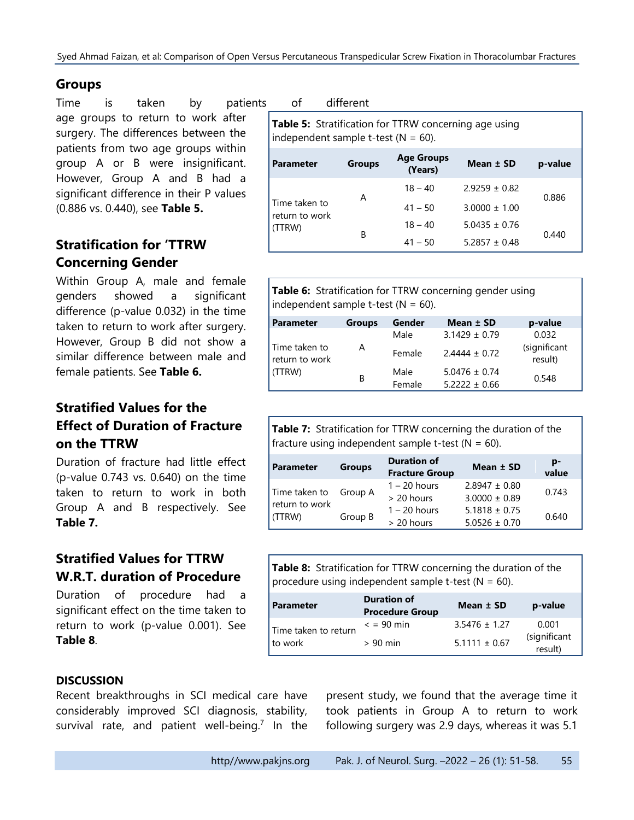### **Groups**

Time is taken by patients of different age groups to return to work after surgery. The differences between the patients from two age groups within group A or B were insignificant. However, Group A and B had a significant difference in their P values (0.886 vs. 0.440), see **Table 5.**

# **Stratification for 'TTRW Concerning Gender**

Within Group A, male and female genders showed a significant difference (p-value 0.032) in the time taken to return to work after surgery. However, Group B did not show a similar difference between male and female patients. See **Table 6.**

# **Stratified Values for the Effect of Duration of Fracture on the TTRW**

Duration of fracture had little effect (p-value 0.743 vs. 0.640) on the time taken to return to work in both Group A and B respectively. See **Table 7.**

# **Stratified Values for TTRW W.R.T. duration of Procedure**

Duration of procedure had a significant effect on the time taken to return to work (p-value 0.001). See **Table 8**.

**Table 5:** Stratification for TTRW concerning age using independent sample t-test  $(N = 60)$ .

| Parameter                                 | <b>Groups</b> | <b>Age Groups</b><br>(Years) | Mean $±$ SD       | p-value |
|-------------------------------------------|---------------|------------------------------|-------------------|---------|
|                                           | Α             | $18 - 40$                    | $2.9259 \pm 0.82$ | 0.886   |
| Time taken to<br>return to work<br>(TTRW) |               | $41 - 50$                    | $3.0000 \pm 1.00$ |         |
|                                           |               | $18 - 40$                    | $5.0435 \pm 0.76$ |         |
|                                           | B             | $41 - 50$                    | $5.2857 \pm 0.48$ | 0.440   |

**Table 6:** Stratification for TTRW concerning gender using independent sample t-test ( $N = 60$ ).

| <b>Parameter</b>                          | <b>Groups</b> | Gender | Mean ± SD         | p-value                 |
|-------------------------------------------|---------------|--------|-------------------|-------------------------|
| Time taken to<br>return to work<br>(TTRW) |               | Male   | $3.1429 \pm 0.79$ | 0.032                   |
|                                           | А             | Female | $2.4444 \pm 0.72$ | (significant<br>result) |
|                                           | В             | Male   | $5.0476 \pm 0.74$ | 0.548                   |
|                                           |               | Female | $5.2222 \pm 0.66$ |                         |

**Table 7:** Stratification for TTRW concerning the duration of the fracture using independent sample t-test ( $N = 60$ ).

| <b>Parameter</b>                          | <b>Groups</b> | <b>Duration of</b><br><b>Fracture Group</b> | Mean $±$ SD                            | p-<br>value |
|-------------------------------------------|---------------|---------------------------------------------|----------------------------------------|-------------|
| Time taken to<br>return to work<br>(TTRW) | Group A       | $1 - 20$ hours<br>$> 20$ hours              | $2.8947 \pm 0.80$<br>$3.0000 \pm 0.89$ | 0.743       |
|                                           | Group B       | $1 - 20$ hours<br>> 20 hours                | $5.1818 \pm 0.75$<br>$5.0526 \pm 0.70$ | 0.640       |

**Table 8:** Stratification for TTRW concerning the duration of the procedure using independent sample t-test  $(N = 60)$ .

| <b>Parameter</b>                  | <b>Duration of</b><br><b>Procedure Group</b> | Mean ± SD         | p-value                 |
|-----------------------------------|----------------------------------------------|-------------------|-------------------------|
| Time taken to return<br>I to work | $\epsilon$ = 90 min                          | $3.5476 \pm 1.27$ | 0.001                   |
|                                   | $> 90$ min                                   | $5.1111 \pm 0.67$ | (significant<br>result) |

#### **DISCUSSION**

Recent breakthroughs in SCI medical care have considerably improved SCI diagnosis, stability, survival rate, and patient well-being.<sup>7</sup> In the

present study, we found that the average time it took patients in Group A to return to work following surgery was 2.9 days, whereas it was 5.1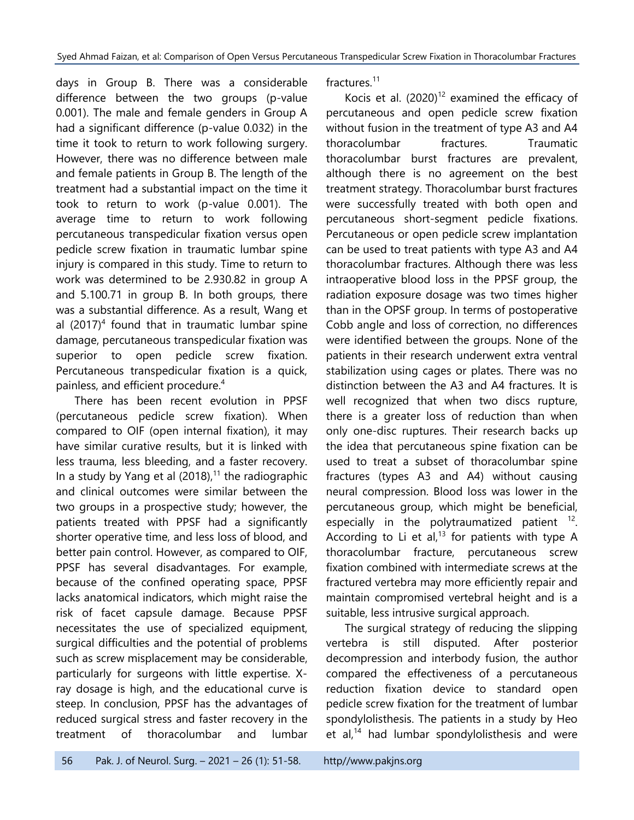days in Group B. There was a considerable difference between the two groups (p-value 0.001). The male and female genders in Group A had a significant difference (p-value 0.032) in the time it took to return to work following surgery. However, there was no difference between male and female patients in Group B. The length of the treatment had a substantial impact on the time it took to return to work (p-value 0.001). The average time to return to work following percutaneous transpedicular fixation versus open pedicle screw fixation in traumatic lumbar spine injury is compared in this study. Time to return to work was determined to be 2.930.82 in group A and 5.100.71 in group B. In both groups, there was a substantial difference. As a result, Wang et al  $(2017)^4$  found that in traumatic lumbar spine damage, percutaneous transpedicular fixation was superior to open pedicle screw fixation. Percutaneous transpedicular fixation is a quick, painless, and efficient procedure. 4

There has been recent evolution in PPSF (percutaneous pedicle screw fixation). When compared to OIF (open internal fixation), it may have similar curative results, but it is linked with less trauma, less bleeding, and a faster recovery. In a study by Yang et al  $(2018)<sup>11</sup>$  the radiographic and clinical outcomes were similar between the two groups in a prospective study; however, the patients treated with PPSF had a significantly shorter operative time, and less loss of blood, and better pain control. However, as compared to OIF, PPSF has several disadvantages. For example, because of the confined operating space, PPSF lacks anatomical indicators, which might raise the risk of facet capsule damage. Because PPSF necessitates the use of specialized equipment, surgical difficulties and the potential of problems such as screw misplacement may be considerable, particularly for surgeons with little expertise. Xray dosage is high, and the educational curve is steep. In conclusion, PPSF has the advantages of reduced surgical stress and faster recovery in the treatment of thoracolumbar and lumbar

fractures. 11

Kocis et al.  $(2020)^{12}$  examined the efficacy of percutaneous and open pedicle screw fixation without fusion in the treatment of type A3 and A4 thoracolumbar fractures. Traumatic thoracolumbar burst fractures are prevalent, although there is no agreement on the best treatment strategy. Thoracolumbar burst fractures were successfully treated with both open and percutaneous short-segment pedicle fixations. Percutaneous or open pedicle screw implantation can be used to treat patients with type A3 and A4 thoracolumbar fractures. Although there was less intraoperative blood loss in the PPSF group, the radiation exposure dosage was two times higher than in the OPSF group. In terms of postoperative Cobb angle and loss of correction, no differences were identified between the groups. None of the patients in their research underwent extra ventral stabilization using cages or plates. There was no distinction between the A3 and A4 fractures. It is well recognized that when two discs rupture, there is a greater loss of reduction than when only one-disc ruptures. Their research backs up the idea that percutaneous spine fixation can be used to treat a subset of thoracolumbar spine fractures (types A3 and A4) without causing neural compression. Blood loss was lower in the percutaneous group, which might be beneficial, especially in the polytraumatized patient  $12$ . According to Li et al, $^{13}$  for patients with type A thoracolumbar fracture, percutaneous screw fixation combined with intermediate screws at the fractured vertebra may more efficiently repair and maintain compromised vertebral height and is a suitable, less intrusive surgical approach.

The surgical strategy of reducing the slipping vertebra is still disputed. After posterior decompression and interbody fusion, the author compared the effectiveness of a percutaneous reduction fixation device to standard open pedicle screw fixation for the treatment of lumbar spondylolisthesis. The patients in a study by Heo et al,<sup>14</sup> had lumbar spondylolisthesis and were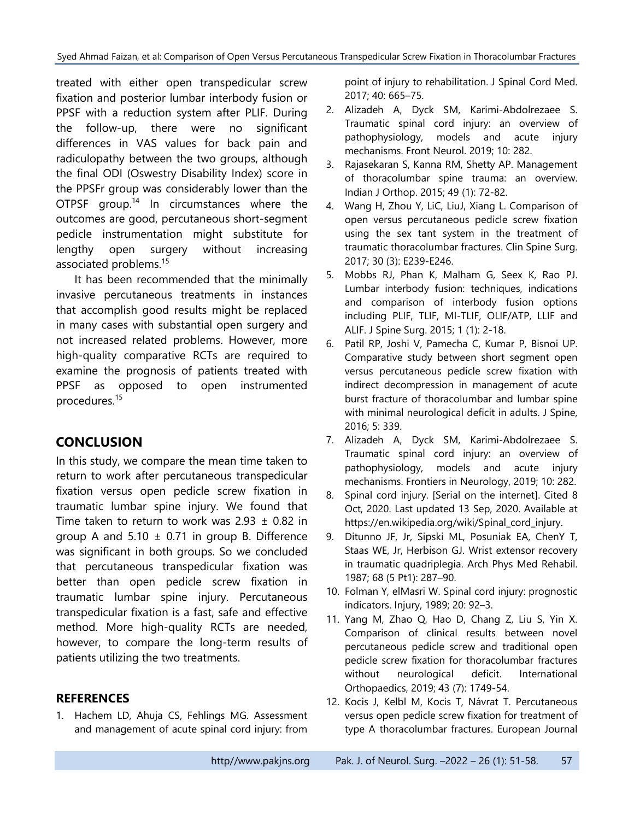treated with either open transpedicular screw fixation and posterior lumbar interbody fusion or PPSF with a reduction system after PLIF. During the follow-up, there were no significant differences in VAS values for back pain and radiculopathy between the two groups, although the final ODI (Oswestry Disability Index) score in the PPSFr group was considerably lower than the OTPSF group.<sup>14</sup> In circumstances where the outcomes are good, percutaneous short-segment pedicle instrumentation might substitute for lengthy open surgery without increasing associated problems. 15

It has been recommended that the minimally invasive percutaneous treatments in instances that accomplish good results might be replaced in many cases with substantial open surgery and not increased related problems. However, more high-quality comparative RCTs are required to examine the prognosis of patients treated with PPSF as opposed to open instrumented procedures. 15

# **CONCLUSION**

In this study, we compare the mean time taken to return to work after percutaneous transpedicular fixation versus open pedicle screw fixation in traumatic lumbar spine injury. We found that Time taken to return to work was  $2.93 \pm 0.82$  in group A and  $5.10 \pm 0.71$  in group B. Difference was significant in both groups. So we concluded that percutaneous transpedicular fixation was better than open pedicle screw fixation in traumatic lumbar spine injury. Percutaneous transpedicular fixation is a fast, safe and effective method. More high-quality RCTs are needed, however, to compare the long-term results of patients utilizing the two treatments.

### **REFERENCES**

1. Hachem LD, Ahuja CS, Fehlings MG. Assessment and management of acute spinal cord injury: from

point of injury to rehabilitation. J Spinal Cord Med. 2017; 40: 665–75.

- 2. Alizadeh A, Dyck SM, Karimi-Abdolrezaee S. Traumatic spinal cord injury: an overview of pathophysiology, models and acute injury mechanisms. Front Neurol. 2019; 10: 282.
- 3. Rajasekaran S, Kanna RM, Shetty AP. Management of thoracolumbar spine trauma: an overview. Indian J Orthop. 2015; 49 (1): 72-82.
- 4. Wang H, Zhou Y, LiC, LiuJ, Xiang L. Comparison of open versus percutaneous pedicle screw fixation using the sex tant system in the treatment of traumatic thoracolumbar fractures. Clin Spine Surg. 2017; 30 (3): E239-E246.
- 5. Mobbs RJ, Phan K, Malham G, Seex K, Rao PJ. Lumbar interbody fusion: techniques, indications and comparison of interbody fusion options including PLIF, TLIF, MI-TLIF, OLIF/ATP, LLIF and ALIF. J Spine Surg. 2015; 1 (1): 2-18.
- 6. Patil RP, Joshi V, Pamecha C, Kumar P, Bisnoi UP. Comparative study between short segment open versus percutaneous pedicle screw fixation with indirect decompression in management of acute burst fracture of thoracolumbar and lumbar spine with minimal neurological deficit in adults. J Spine, 2016; 5: 339.
- 7. Alizadeh A, Dyck SM, Karimi-Abdolrezaee S. Traumatic spinal cord injury: an overview of pathophysiology, models and acute injury mechanisms. Frontiers in Neurology, 2019; 10: 282.
- 8. Spinal cord injury. [Serial on the internet]. Cited 8 Oct, 2020. Last updated 13 Sep, 2020. Available at [https://en.wikipedia.org/wiki/Spinal\\_cord\\_injury.](https://en.wikipedia.org/wiki/Spinal_cord_injury)
- 9. Ditunno JF, Jr, Sipski ML, Posuniak EA, ChenY T, Staas WE, Jr, Herbison GJ. Wrist extensor recovery in traumatic quadriplegia. Arch Phys Med Rehabil. 1987; 68 (5 Pt1): 287–90.
- 10. Folman Y, elMasri W. Spinal cord injury: prognostic indicators. Injury, 1989; 20: 92–3.
- 11. Yang M, Zhao Q, Hao D, Chang Z, Liu S, Yin X. Comparison of clinical results between novel percutaneous pedicle screw and traditional open pedicle screw fixation for thoracolumbar fractures without neurological deficit. International Orthopaedics, 2019; 43 (7): 1749-54.
- 12. Kocis J, Kelbl M, Kocis T, Návrat T. Percutaneous versus open pedicle screw fixation for treatment of type A thoracolumbar fractures. European Journal